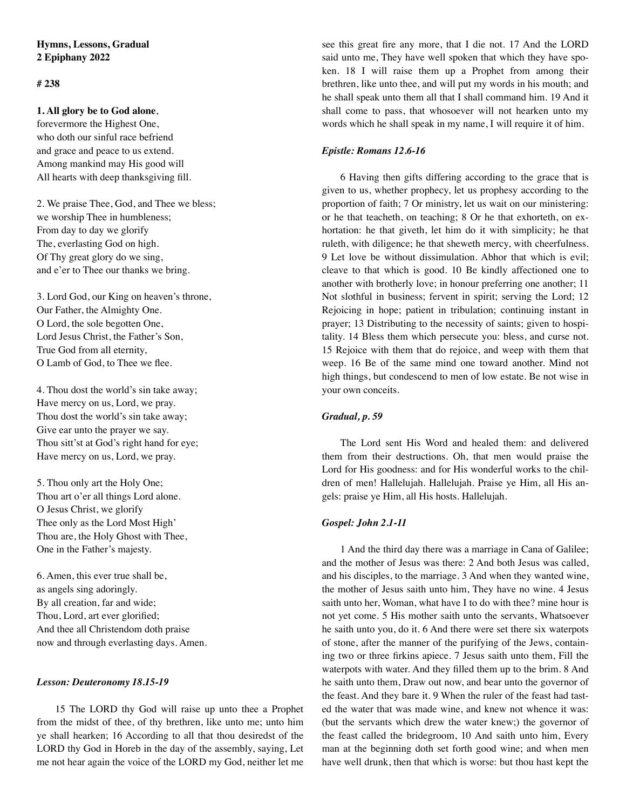# **Hymns, Lessons, Gradual 2 Epiphany 2022**

# **# 238**

### **1. All glory be to God alone**,

forevermore the Highest One, who doth our sinful race befriend and grace and peace to us extend. Among mankind may His good will All hearts with deep thanksgiving fill.

2. We praise Thee, God, and Thee we bless; we worship Thee in humbleness; From day to day we glorify The, everlasting God on high. Of Thy great glory do we sing, and e'er to Thee our thanks we bring.

3. Lord God, our King on heaven's throne, Our Father, the Almighty One. O Lord, the sole begotten One, Lord Jesus Christ, the Father's Son, True God from all eternity, O Lamb of God, to Thee we flee.

4. Thou dost the world's sin take away; Have mercy on us, Lord, we pray. Thou dost the world's sin take away; Give ear unto the prayer we say. Thou sitt'st at God's right hand for eye; Have mercy on us, Lord, we pray.

5. Thou only art the Holy One; Thou art o'er all things Lord alone. O Jesus Christ, we glorify Thee only as the Lord Most High' Thou are, the Holy Ghost with Thee, One in the Father's majesty.

6. Amen, this ever true shall be, as angels sing adoringly. By all creation, far and wide; Thou, Lord, art ever glorified; And thee all Christendom doth praise now and through everlasting days. Amen.

#### *Lesson: Deuteronomy 18.15-19*

15 The LORD thy God will raise up unto thee a Prophet from the midst of thee, of thy brethren, like unto me; unto him ye shall hearken; 16 According to all that thou desiredst of the LORD thy God in Horeb in the day of the assembly, saying, Let me not hear again the voice of the LORD my God, neither let me see this great fire any more, that I die not. 17 And the LORD said unto me, They have well spoken that which they have spoken. 18 I will raise them up a Prophet from among their brethren, like unto thee, and will put my words in his mouth; and he shall speak unto them all that I shall command him. 19 And it shall come to pass, that whosoever will not hearken unto my words which he shall speak in my name, I will require it of him.

### *Epistle: Romans 12.6-16*

6 Having then gifts differing according to the grace that is given to us, whether prophecy, let us prophesy according to the proportion of faith; 7 Or ministry, let us wait on our ministering: or he that teacheth, on teaching; 8 Or he that exhorteth, on exhortation: he that giveth, let him do it with simplicity; he that ruleth, with diligence; he that sheweth mercy, with cheerfulness. 9 Let love be without dissimulation. Abhor that which is evil; cleave to that which is good. 10 Be kindly affectioned one to another with brotherly love; in honour preferring one another; 11 Not slothful in business; fervent in spirit; serving the Lord; 12 Rejoicing in hope; patient in tribulation; continuing instant in prayer; 13 Distributing to the necessity of saints; given to hospitality. 14 Bless them which persecute you: bless, and curse not. 15 Rejoice with them that do rejoice, and weep with them that weep. 16 Be of the same mind one toward another. Mind not high things, but condescend to men of low estate. Be not wise in your own conceits.

# *Gradual, p. 59*

The Lord sent His Word and healed them: and delivered them from their destructions. Oh, that men would praise the Lord for His goodness: and for His wonderful works to the children of men! Hallelujah. Hallelujah. Praise ye Him, all His angels: praise ye Him, all His hosts. Hallelujah.

#### *Gospel: John 2.1-11*

1 And the third day there was a marriage in Cana of Galilee; and the mother of Jesus was there: 2 And both Jesus was called, and his disciples, to the marriage. 3 And when they wanted wine, the mother of Jesus saith unto him, They have no wine. 4 Jesus saith unto her, Woman, what have I to do with thee? mine hour is not yet come. 5 His mother saith unto the servants, Whatsoever he saith unto you, do it. 6 And there were set there six waterpots of stone, after the manner of the purifying of the Jews, containing two or three firkins apiece. 7 Jesus saith unto them, Fill the waterpots with water. And they filled them up to the brim. 8 And he saith unto them, Draw out now, and bear unto the governor of the feast. And they bare it. 9 When the ruler of the feast had tasted the water that was made wine, and knew not whence it was: (but the servants which drew the water knew;) the governor of the feast called the bridegroom, 10 And saith unto him, Every man at the beginning doth set forth good wine; and when men have well drunk, then that which is worse: but thou hast kept the